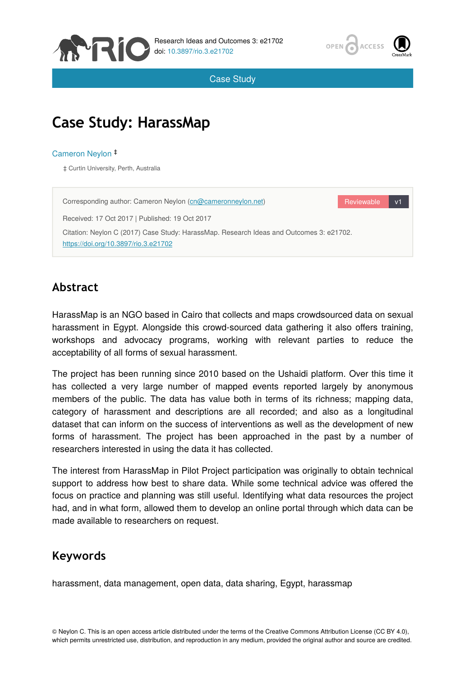



Case Study

# **Case Study: HarassMap**

#### Cameron Neylon ‡

‡ Curtin University, Perth, Australia

Reviewable v1 Corresponding author: Cameron Neylon ([cn@cameronneylon.net\)](mailto:cn@cameronneylon.net) Received: 17 Oct 2017 | Published: 19 Oct 2017 Citation: Neylon C (2017) Case Study: HarassMap. Research Ideas and Outcomes 3: e21702. <https://doi.org/10.3897/rio.3.e21702>

### **Abstract**

HarassMap is an NGO based in Cairo that collects and maps crowdsourced data on sexual harassment in Egypt. Alongside this crowd-sourced data gathering it also offers training, workshops and advocacy programs, working with relevant parties to reduce the acceptability of all forms of sexual harassment.

The project has been running since 2010 based on the Ushaidi platform. Over this time it has collected a very large number of mapped events reported largely by anonymous members of the public. The data has value both in terms of its richness; mapping data, category of harassment and descriptions are all recorded; and also as a longitudinal dataset that can inform on the success of interventions as well as the development of new forms of harassment. The project has been approached in the past by a number of researchers interested in using the data it has collected.

The interest from HarassMap in Pilot Project participation was originally to obtain technical support to address how best to share data. While some technical advice was offered the focus on practice and planning was still useful. Identifying what data resources the project had, and in what form, allowed them to develop an online portal through which data can be made available to researchers on request.

#### **Keywords**

harassment, data management, open data, data sharing, Egypt, harassmap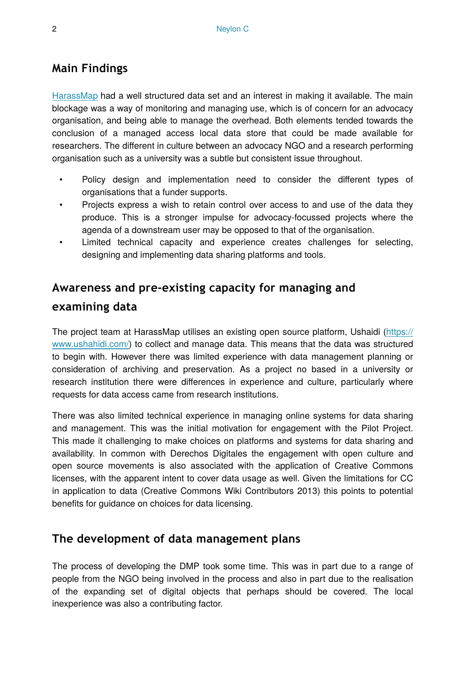#### **Main Findings**

[HarassMap](https://harassmap.org/) had a well structured data set and an interest in making it available. The main blockage was a way of monitoring and managing use, which is of concern for an advocacy organisation, and being able to manage the overhead. Both elements tended towards the conclusion of a managed access local data store that could be made available for researchers. The different in culture between an advocacy NGO and a research performing organisation such as a university was a subtle but consistent issue throughout.

- Policy design and implementation need to consider the different types of organisations that a funder supports.
- Projects express a wish to retain control over access to and use of the data they produce. This is a stronger impulse for advocacy-focussed projects where the agenda of a downstream user may be opposed to that of the organisation.
- Limited technical capacity and experience creates challenges for selecting, designing and implementing data sharing platforms and tools.

#### **Awareness and pre-existing capacity for managing and**

#### **examining data**

The project team at HarassMap utilises an existing open source platform, Ushaidi [\(https://](https://www.ushahidi.com/) [www.ushahidi.com/\)](https://www.ushahidi.com/) to collect and manage data. This means that the data was structured to begin with. However there was limited experience with data management planning or consideration of archiving and preservation. As a project no based in a university or research institution there were differences in experience and culture, particularly where requests for data access came from research institutions.

There was also limited technical experience in managing online systems for data sharing and management. This was the initial motivation for engagement with the Pilot Project. This made it challenging to make choices on platforms and systems for data sharing and availability. In common with Derechos Digitales the engagement with open culture and open source movements is also associated with the application of Creative Commons licenses, with the apparent intent to cover data usage as well. Given the limitations for CC in application to data (Creative Commons Wiki Contributors 2013) this points to potential benefits for guidance on choices for data licensing.

#### **The development of data management plans**

The process of developing the DMP took some time. This was in part due to a range of people from the NGO being involved in the process and also in part due to the realisation of the expanding set of digital objects that perhaps should be covered. The local inexperience was also a contributing factor.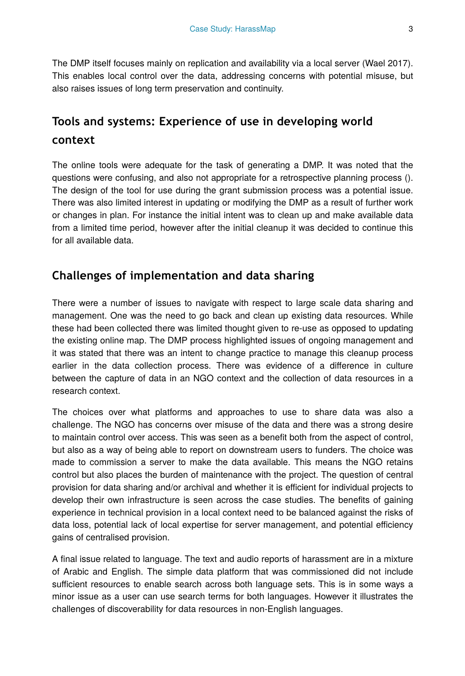The DMP itself focuses mainly on replication and availability via a local server (Wael 2017). This enables local control over the data, addressing concerns with potential misuse, but also raises issues of long term preservation and continuity.

## **Tools and systems: Experience of use in developing world context**

The online tools were adequate for the task of generating a DMP. It was noted that the questions were confusing, and also not appropriate for a retrospective planning process (). The design of the tool for use during the grant submission process was a potential issue. There was also limited interest in updating or modifying the DMP as a result of further work or changes in plan. For instance the initial intent was to clean up and make available data from a limited time period, however after the initial cleanup it was decided to continue this for all available data.

#### **Challenges of implementation and data sharing**

There were a number of issues to navigate with respect to large scale data sharing and management. One was the need to go back and clean up existing data resources. While these had been collected there was limited thought given to re-use as opposed to updating the existing online map. The DMP process highlighted issues of ongoing management and it was stated that there was an intent to change practice to manage this cleanup process earlier in the data collection process. There was evidence of a difference in culture between the capture of data in an NGO context and the collection of data resources in a research context.

The choices over what platforms and approaches to use to share data was also a challenge. The NGO has concerns over misuse of the data and there was a strong desire to maintain control over access. This was seen as a benefit both from the aspect of control, but also as a way of being able to report on downstream users to funders. The choice was made to commission a server to make the data available. This means the NGO retains control but also places the burden of maintenance with the project. The question of central provision for data sharing and/or archival and whether it is efficient for individual projects to develop their own infrastructure is seen across the case studies. The benefits of gaining experience in technical provision in a local context need to be balanced against the risks of data loss, potential lack of local expertise for server management, and potential efficiency gains of centralised provision.

A final issue related to language. The text and audio reports of harassment are in a mixture of Arabic and English. The simple data platform that was commissioned did not include sufficient resources to enable search across both language sets. This is in some ways a minor issue as a user can use search terms for both languages. However it illustrates the challenges of discoverability for data resources in non-English languages.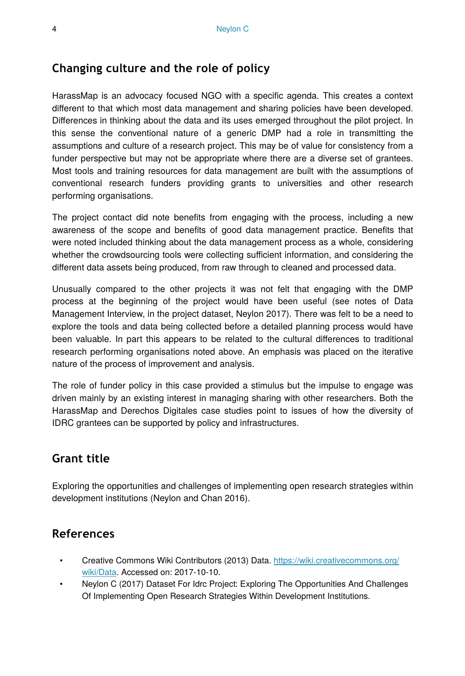#### **Changing culture and the role of policy**

HarassMap is an advocacy focused NGO with a specific agenda. This creates a context different to that which most data management and sharing policies have been developed. Differences in thinking about the data and its uses emerged throughout the pilot project. In this sense the conventional nature of a generic DMP had a role in transmitting the assumptions and culture of a research project. This may be of value for consistency from a funder perspective but may not be appropriate where there are a diverse set of grantees. Most tools and training resources for data management are built with the assumptions of conventional research funders providing grants to universities and other research performing organisations.

The project contact did note benefits from engaging with the process, including a new awareness of the scope and benefits of good data management practice. Benefits that were noted included thinking about the data management process as a whole, considering whether the crowdsourcing tools were collecting sufficient information, and considering the different data assets being produced, from raw through to cleaned and processed data.

Unusually compared to the other projects it was not felt that engaging with the DMP process at the beginning of the project would have been useful (see notes of Data Management Interview, in the project dataset, Neylon 2017). There was felt to be a need to explore the tools and data being collected before a detailed planning process would have been valuable. In part this appears to be related to the cultural differences to traditional research performing organisations noted above. An emphasis was placed on the iterative nature of the process of improvement and analysis.

The role of funder policy in this case provided a stimulus but the impulse to engage was driven mainly by an existing interest in managing sharing with other researchers. Both the HarassMap and Derechos Digitales case studies point to issues of how the diversity of IDRC grantees can be supported by policy and infrastructures.

#### **Grant title**

Exploring the opportunities and challenges of implementing open research strategies within development institutions (Neylon and Chan 2016).

#### **References**

- Creative Commons Wiki Contributors (2013) Data. [https://wiki.creativecommons.org/](https://wiki.creativecommons.org/wiki/Data) [wiki/Data](https://wiki.creativecommons.org/wiki/Data). Accessed on: 2017-10-10.
- Neylon C (2017) Dataset For Idrc Project: Exploring The Opportunities And Challenges Of Implementing Open Research Strategies Within Development Institutions.